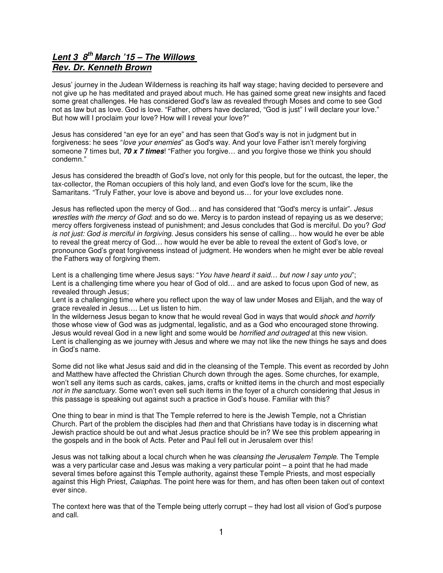## **Lent 3 8th March '15 – The Willows Rev. Dr. Kenneth Brown**

Jesus' journey in the Judean Wilderness is reaching its half way stage; having decided to persevere and not give up he has meditated and prayed about much. He has gained some great new insights and faced some great challenges. He has considered God's law as revealed through Moses and come to see God not as law but as love. God is love. "Father, others have declared, "God is just" I will declare your love." But how will I proclaim your love? How will I reveal your love?"

Jesus has considered "an eye for an eye" and has seen that God's way is not in judgment but in forgiveness: he sees "love your enemies" as God's way. And your love Father isn't merely forgiving someone 7 times but, **70 x 7 times**! "Father you forgive… and you forgive those we think you should condemn."

Jesus has considered the breadth of God's love, not only for this people, but for the outcast, the leper, the tax-collector, the Roman occupiers of this holy land, and even God's love for the scum, like the Samaritans. "Truly Father, your love is above and beyond us… for your love excludes none.

Jesus has reflected upon the mercy of God… and has considered that "God's mercy is unfair". Jesus wrestles with the mercy of God: and so do we. Mercy is to pardon instead of repaying us as we deserve; mercy offers forgiveness instead of punishment; and Jesus concludes that God is merciful. Do you? God is not just: God is merciful in forgiving. Jesus considers his sense of calling… how would he ever be able to reveal the great mercy of God… how would he ever be able to reveal the extent of God's love, or pronounce God's great forgiveness instead of judgment. He wonders when he might ever be able reveal the Fathers way of forgiving them.

Lent is a challenging time where Jesus says: "You have heard it said... but now I say unto you"; Lent is a challenging time where you hear of God of old… and are asked to focus upon God of new, as revealed through Jesus;

Lent is a challenging time where you reflect upon the way of law under Moses and Elijah, and the way of grace revealed in Jesus…. Let us listen to him.

In the wilderness Jesus began to know that he would reveal God in ways that would shock and horrify those whose view of God was as judgmental, legalistic, and as a God who encouraged stone throwing. Jesus would reveal God in a new light and some would be *horrified and outraged* at this new vision. Lent is challenging as we journey with Jesus and where we may not like the new things he says and does in God's name.

Some did not like what Jesus said and did in the cleansing of the Temple. This event as recorded by John and Matthew have affected the Christian Church down through the ages. Some churches, for example, won't sell any items such as cards, cakes, jams, crafts or knitted items in the church and most especially not in the sanctuary. Some won't even sell such items in the foyer of a church considering that Jesus in this passage is speaking out against such a practice in God's house. Familiar with this?

One thing to bear in mind is that The Temple referred to here is the Jewish Temple, not a Christian Church. Part of the problem the disciples had *then* and that Christians have today is in discerning what Jewish practice should be out and what Jesus practice should be in? We see this problem appearing in the gospels and in the book of Acts. Peter and Paul fell out in Jerusalem over this!

Jesus was not talking about a local church when he was *cleansing the Jerusalem Temple*. The Temple was a very particular case and Jesus was making a very particular point – a point that he had made several times before against this Temple authority, against these Temple Priests, and most especially against this High Priest, Caiaphas. The point here was for them, and has often been taken out of context ever since.

The context here was that of the Temple being utterly corrupt – they had lost all vision of God's purpose and call.